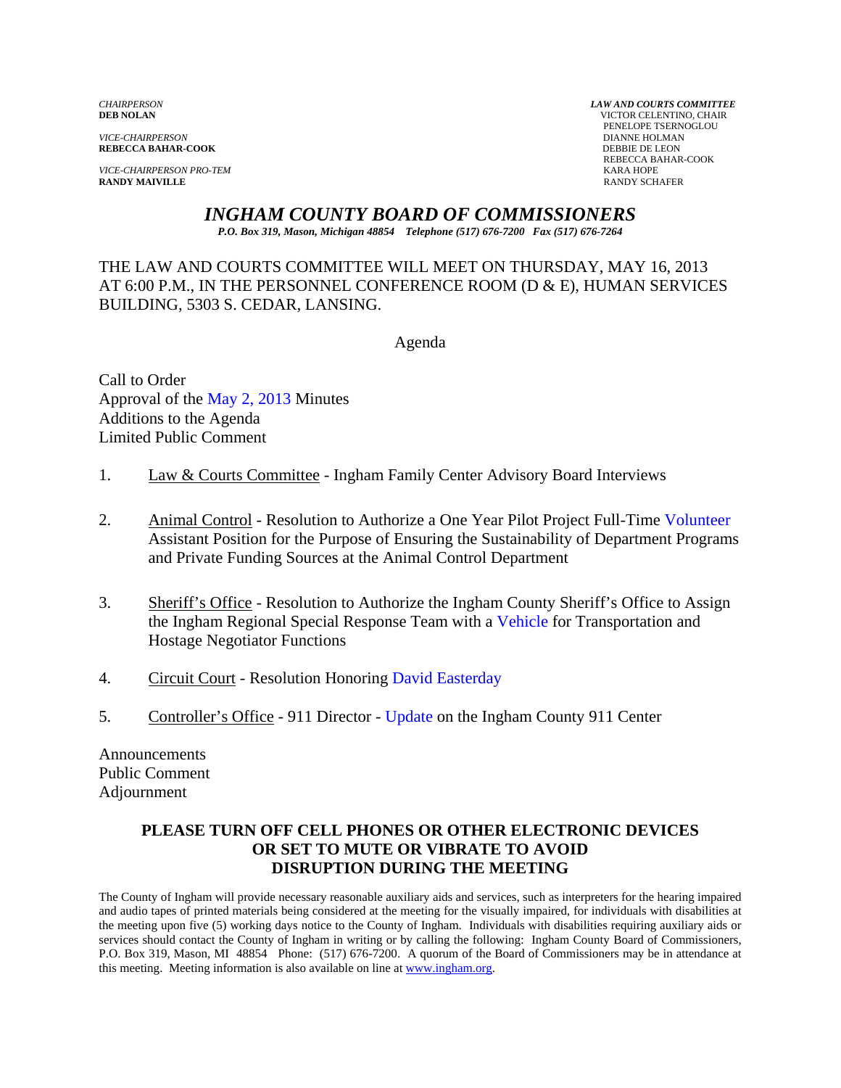*VICE-CHAIRPERSON* DIANNE HOLMAN **REBECCA BAHAR-COOK** 

*VICE-CHAIRPERSON PRO-TEM* KARA HOPE **RANDY MAIVILLE** 

*CHAIRPERSON LAW AND COURTS COMMITTEE* **VICTOR CELENTINO, CHAIR PENELOPE TSERNOGLOU DIANNE HOLMAN** REBECCA BAHAR-COOK

# *INGHAM COUNTY BOARD OF COMMISSIONERS*

*P.O. Box 319, Mason, Michigan 48854 Telephone (517) 676-7200 Fax (517) 676-7264*

THE LAW AND COURTS COMMITTEE WILL MEET ON THURSDAY, MAY 16, 2013 AT 6:00 P.M., IN THE PERSONNEL CONFERENCE ROOM (D & E), HUMAN SERVICES BUILDING, 5303 S. CEDAR, LANSING.

Agenda

Call to Order Approval [of the May 2, 2013 Minutes](#page-1-0)  Additions to the Agenda Limited Public Comment

- 1. Law & Courts Committee Ingham Family Center Advisory Board Interviews
- 2. Animal Control Resolution to Authorize a One Year Pilot Project Full-Time Volunteer Assistant Position for the Purpose of Ensuring the Sustainability of De[partment Programs](#page-7-0)  and Private Funding Sources at the Animal Control Department
- 3. Sheriff's Office Resolution to Authorize th[e Ingham County Sheriff's](#page-10-0) Office to Assign the Ingham Regional Special Response Team with a Vehicle for Transportation and Hostage Negotiator Functions
- 4. Circuit Court Resolution Honoring David Easterday
- 5. Controller's Office 911 Directo[r Update on the Ingham County 911](#page-13-0) Center

Announcements Public Comment Adjournment

#### **PLEASE TURN OFF CELL PHONES OR OTHER ELECTRONIC DEVICES OR SET TO MUTE OR VIBRATE TO AVOID DISRUPTION DURING THE MEETING**

The County of Ingham will provide necessary reasonable auxiliary aids and services, such as interpreters for the hearing impaired and audio tapes of printed materials being considered at the meeting for the visually impaired, for individuals with disabilities at the meeting upon five (5) working days notice to the County of Ingham. Individuals with disabilities requiring auxiliary aids or services should contact the County of Ingham in writing or by calling the following: Ingham County Board of Commissioners, P.O. Box 319, Mason, MI 48854 Phone: (517) 676-7200. A quorum of the Board of Commissioners may be in attendance at this meeting. Meeting information is also available on line at www.ingham.org.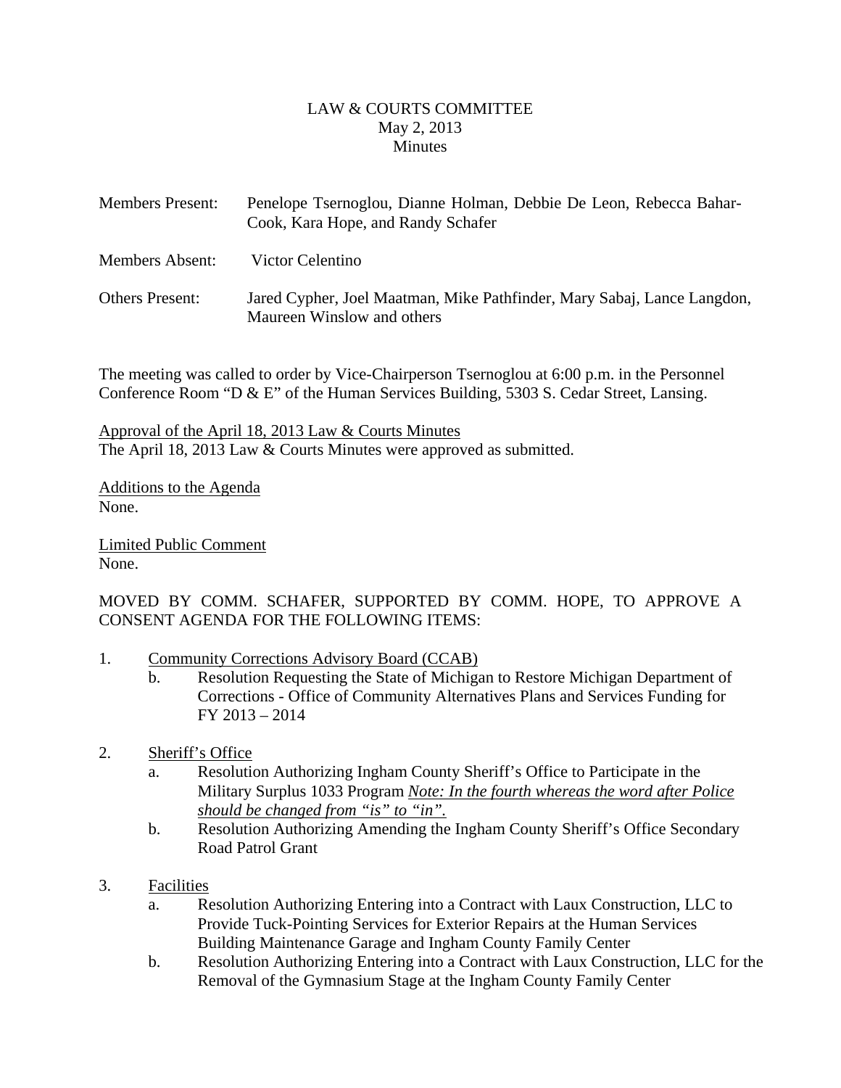#### LAW & COURTS COMMITTEE May 2, 2013 **Minutes**

<span id="page-1-0"></span>

| <b>Members Present:</b> | Penelope Tsernoglou, Dianne Holman, Debbie De Leon, Rebecca Bahar-<br>Cook, Kara Hope, and Randy Schafer |
|-------------------------|----------------------------------------------------------------------------------------------------------|
| <b>Members Absent:</b>  | Victor Celentino                                                                                         |
| <b>Others Present:</b>  | Jared Cypher, Joel Maatman, Mike Pathfinder, Mary Sabaj, Lance Langdon,<br>Maureen Winslow and others    |

The meeting was called to order by Vice-Chairperson Tsernoglou at 6:00 p.m. in the Personnel Conference Room "D & E" of the Human Services Building, 5303 S. Cedar Street, Lansing.

Approval of the April 18, 2013 Law & Courts Minutes The April 18, 2013 Law & Courts Minutes were approved as submitted.

Additions to the Agenda None.

Limited Public Comment None.

MOVED BY COMM. SCHAFER, SUPPORTED BY COMM. HOPE, TO APPROVE A CONSENT AGENDA FOR THE FOLLOWING ITEMS:

- 1. Community Corrections Advisory Board (CCAB)
	- b. Resolution Requesting the State of Michigan to Restore Michigan Department of Corrections - Office of Community Alternatives Plans and Services Funding for FY 2013 – 2014
- 2. Sheriff's Office
	- a. Resolution Authorizing Ingham County Sheriff's Office to Participate in the Military Surplus 1033 Program *Note: In the fourth whereas the word after Police should be changed from "is" to "in".*
	- b. Resolution Authorizing Amending the Ingham County Sheriff's Office Secondary Road Patrol Grant
- 3. Facilities
	- a. Resolution Authorizing Entering into a Contract with Laux Construction, LLC to Provide Tuck-Pointing Services for Exterior Repairs at the Human Services Building Maintenance Garage and Ingham County Family Center
	- b. Resolution Authorizing Entering into a Contract with Laux Construction, LLC for the Removal of the Gymnasium Stage at the Ingham County Family Center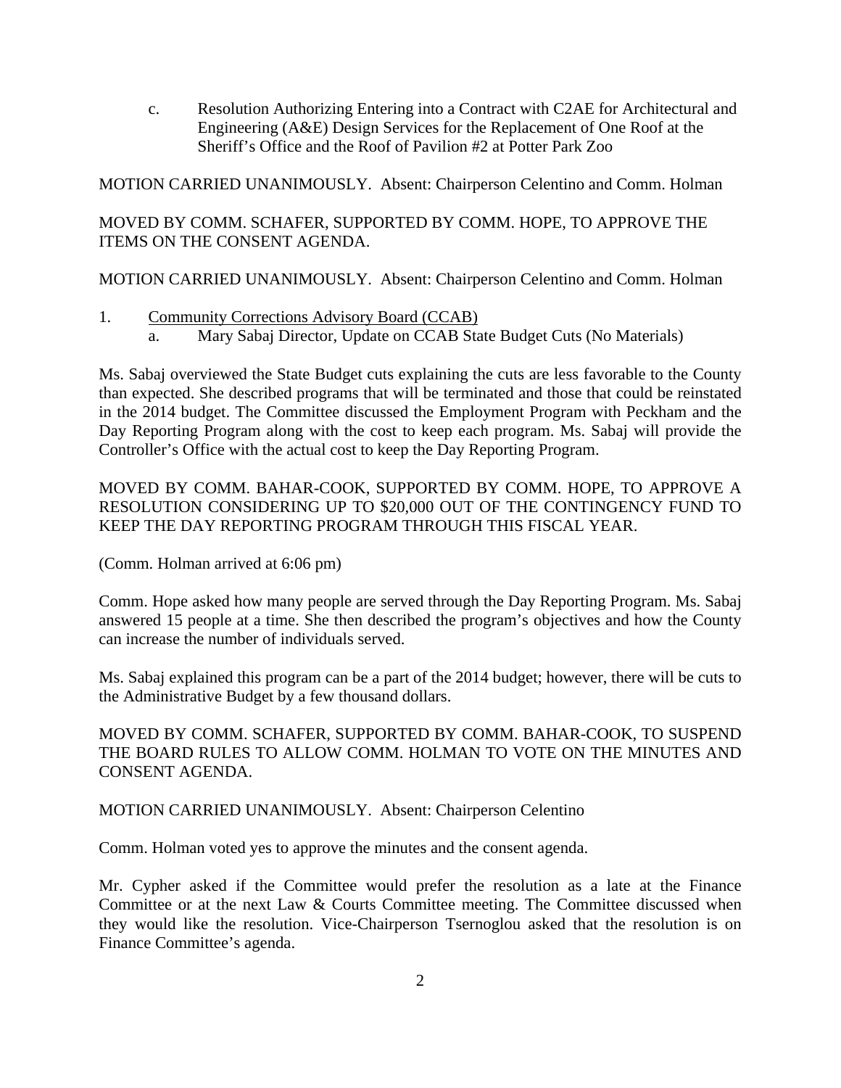c. Resolution Authorizing Entering into a Contract with C2AE for Architectural and Engineering (A&E) Design Services for the Replacement of One Roof at the Sheriff's Office and the Roof of Pavilion #2 at Potter Park Zoo

MOTION CARRIED UNANIMOUSLY. Absent: Chairperson Celentino and Comm. Holman

# MOVED BY COMM. SCHAFER, SUPPORTED BY COMM. HOPE, TO APPROVE THE ITEMS ON THE CONSENT AGENDA.

MOTION CARRIED UNANIMOUSLY. Absent: Chairperson Celentino and Comm. Holman

- 1. Community Corrections Advisory Board (CCAB)
	- a. Mary Sabaj Director, Update on CCAB State Budget Cuts (No Materials)

Ms. Sabaj overviewed the State Budget cuts explaining the cuts are less favorable to the County than expected. She described programs that will be terminated and those that could be reinstated in the 2014 budget. The Committee discussed the Employment Program with Peckham and the Day Reporting Program along with the cost to keep each program. Ms. Sabaj will provide the Controller's Office with the actual cost to keep the Day Reporting Program.

MOVED BY COMM. BAHAR-COOK, SUPPORTED BY COMM. HOPE, TO APPROVE A RESOLUTION CONSIDERING UP TO \$20,000 OUT OF THE CONTINGENCY FUND TO KEEP THE DAY REPORTING PROGRAM THROUGH THIS FISCAL YEAR.

(Comm. Holman arrived at 6:06 pm)

Comm. Hope asked how many people are served through the Day Reporting Program. Ms. Sabaj answered 15 people at a time. She then described the program's objectives and how the County can increase the number of individuals served.

Ms. Sabaj explained this program can be a part of the 2014 budget; however, there will be cuts to the Administrative Budget by a few thousand dollars.

MOVED BY COMM. SCHAFER, SUPPORTED BY COMM. BAHAR-COOK, TO SUSPEND THE BOARD RULES TO ALLOW COMM. HOLMAN TO VOTE ON THE MINUTES AND CONSENT AGENDA.

#### MOTION CARRIED UNANIMOUSLY. Absent: Chairperson Celentino

Comm. Holman voted yes to approve the minutes and the consent agenda.

Mr. Cypher asked if the Committee would prefer the resolution as a late at the Finance Committee or at the next Law & Courts Committee meeting. The Committee discussed when they would like the resolution. Vice-Chairperson Tsernoglou asked that the resolution is on Finance Committee's agenda.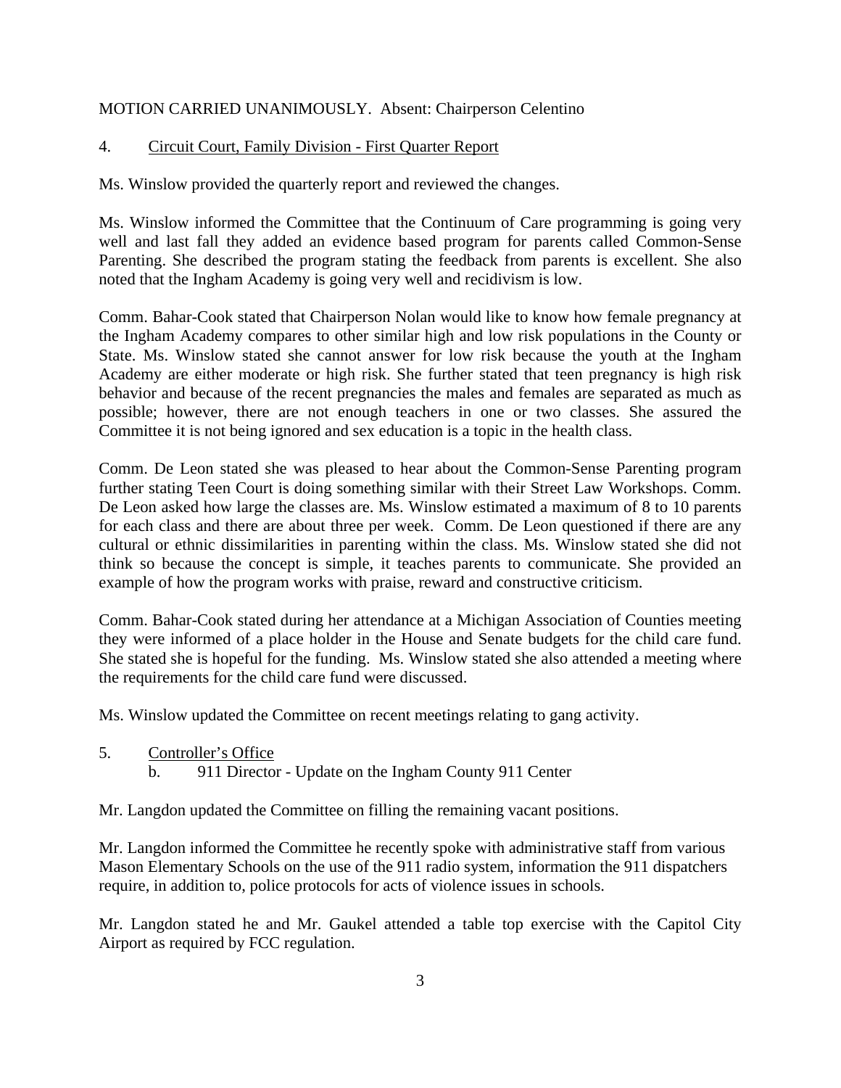#### MOTION CARRIED UNANIMOUSLY. Absent: Chairperson Celentino

#### 4. Circuit Court, Family Division - First Quarter Report

Ms. Winslow provided the quarterly report and reviewed the changes.

Ms. Winslow informed the Committee that the Continuum of Care programming is going very well and last fall they added an evidence based program for parents called Common-Sense Parenting. She described the program stating the feedback from parents is excellent. She also noted that the Ingham Academy is going very well and recidivism is low.

Comm. Bahar-Cook stated that Chairperson Nolan would like to know how female pregnancy at the Ingham Academy compares to other similar high and low risk populations in the County or State. Ms. Winslow stated she cannot answer for low risk because the youth at the Ingham Academy are either moderate or high risk. She further stated that teen pregnancy is high risk behavior and because of the recent pregnancies the males and females are separated as much as possible; however, there are not enough teachers in one or two classes. She assured the Committee it is not being ignored and sex education is a topic in the health class.

Comm. De Leon stated she was pleased to hear about the Common-Sense Parenting program further stating Teen Court is doing something similar with their Street Law Workshops. Comm. De Leon asked how large the classes are. Ms. Winslow estimated a maximum of 8 to 10 parents for each class and there are about three per week. Comm. De Leon questioned if there are any cultural or ethnic dissimilarities in parenting within the class. Ms. Winslow stated she did not think so because the concept is simple, it teaches parents to communicate. She provided an example of how the program works with praise, reward and constructive criticism.

Comm. Bahar-Cook stated during her attendance at a Michigan Association of Counties meeting they were informed of a place holder in the House and Senate budgets for the child care fund. She stated she is hopeful for the funding. Ms. Winslow stated she also attended a meeting where the requirements for the child care fund were discussed.

Ms. Winslow updated the Committee on recent meetings relating to gang activity.

- 5. Controller's Office
	- b. 911 Director Update on the Ingham County 911 Center

Mr. Langdon updated the Committee on filling the remaining vacant positions.

Mr. Langdon informed the Committee he recently spoke with administrative staff from various Mason Elementary Schools on the use of the 911 radio system, information the 911 dispatchers require, in addition to, police protocols for acts of violence issues in schools.

Mr. Langdon stated he and Mr. Gaukel attended a table top exercise with the Capitol City Airport as required by FCC regulation.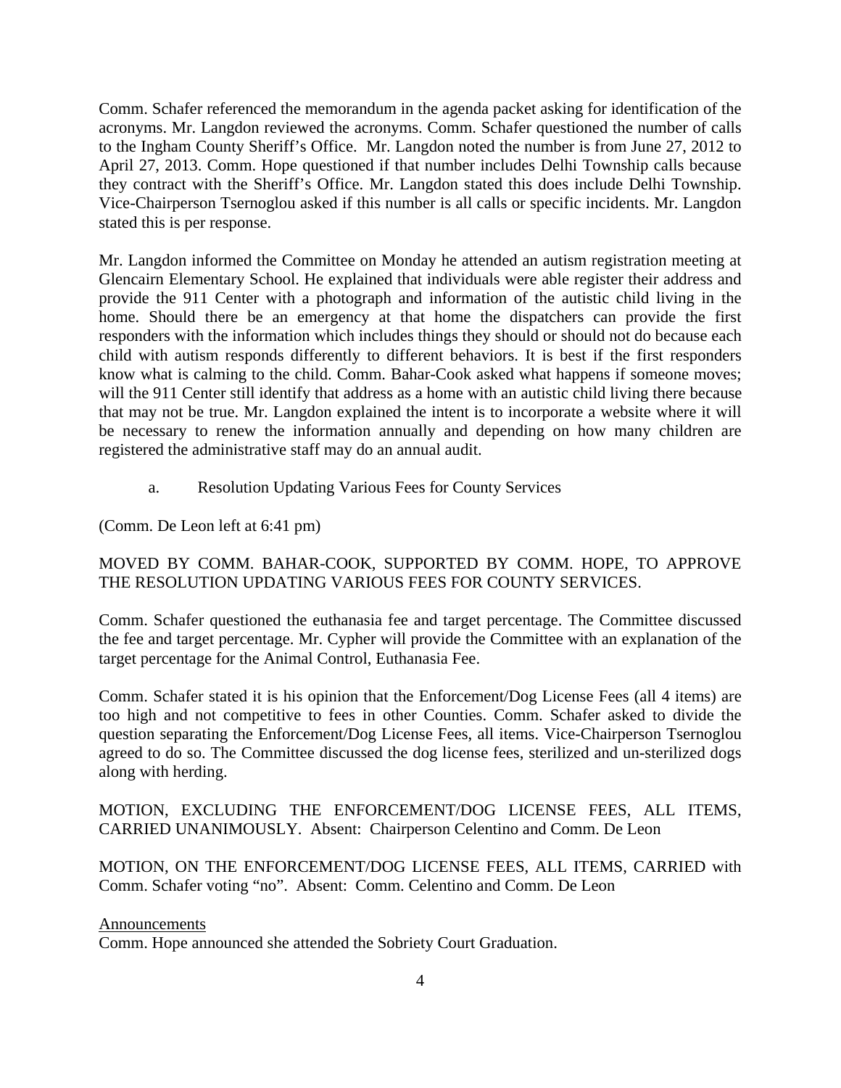Comm. Schafer referenced the memorandum in the agenda packet asking for identification of the acronyms. Mr. Langdon reviewed the acronyms. Comm. Schafer questioned the number of calls to the Ingham County Sheriff's Office. Mr. Langdon noted the number is from June 27, 2012 to April 27, 2013. Comm. Hope questioned if that number includes Delhi Township calls because they contract with the Sheriff's Office. Mr. Langdon stated this does include Delhi Township. Vice-Chairperson Tsernoglou asked if this number is all calls or specific incidents. Mr. Langdon stated this is per response.

Mr. Langdon informed the Committee on Monday he attended an autism registration meeting at Glencairn Elementary School. He explained that individuals were able register their address and provide the 911 Center with a photograph and information of the autistic child living in the home. Should there be an emergency at that home the dispatchers can provide the first responders with the information which includes things they should or should not do because each child with autism responds differently to different behaviors. It is best if the first responders know what is calming to the child. Comm. Bahar-Cook asked what happens if someone moves; will the 911 Center still identify that address as a home with an autistic child living there because that may not be true. Mr. Langdon explained the intent is to incorporate a website where it will be necessary to renew the information annually and depending on how many children are registered the administrative staff may do an annual audit.

a. Resolution Updating Various Fees for County Services

(Comm. De Leon left at 6:41 pm)

#### MOVED BY COMM. BAHAR-COOK, SUPPORTED BY COMM. HOPE, TO APPROVE THE RESOLUTION UPDATING VARIOUS FEES FOR COUNTY SERVICES.

Comm. Schafer questioned the euthanasia fee and target percentage. The Committee discussed the fee and target percentage. Mr. Cypher will provide the Committee with an explanation of the target percentage for the Animal Control, Euthanasia Fee.

Comm. Schafer stated it is his opinion that the Enforcement/Dog License Fees (all 4 items) are too high and not competitive to fees in other Counties. Comm. Schafer asked to divide the question separating the Enforcement/Dog License Fees, all items. Vice-Chairperson Tsernoglou agreed to do so. The Committee discussed the dog license fees, sterilized and un-sterilized dogs along with herding.

#### MOTION, EXCLUDING THE ENFORCEMENT/DOG LICENSE FEES, ALL ITEMS, CARRIED UNANIMOUSLY. Absent: Chairperson Celentino and Comm. De Leon

MOTION, ON THE ENFORCEMENT/DOG LICENSE FEES, ALL ITEMS, CARRIED with Comm. Schafer voting "no". Absent: Comm. Celentino and Comm. De Leon

#### Announcements

Comm. Hope announced she attended the Sobriety Court Graduation.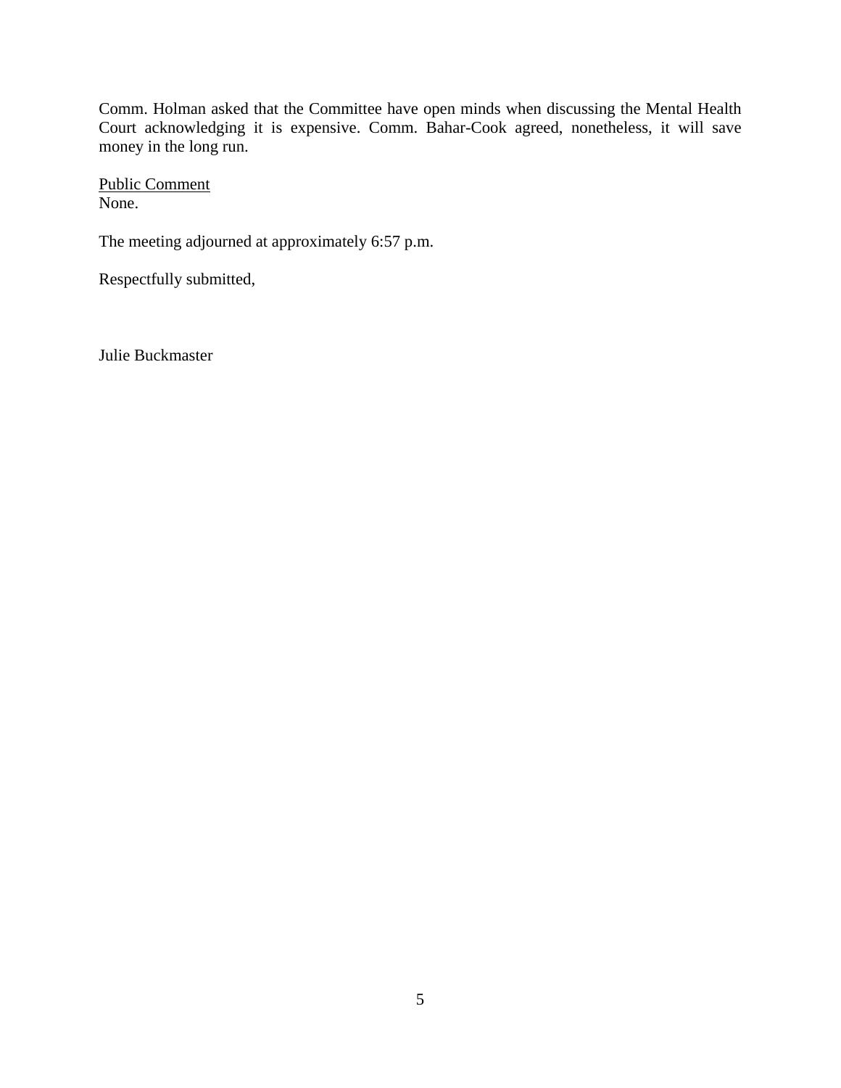Comm. Holman asked that the Committee have open minds when discussing the Mental Health Court acknowledging it is expensive. Comm. Bahar-Cook agreed, nonetheless, it will save money in the long run.

Public Comment None.

The meeting adjourned at approximately 6:57 p.m.

Respectfully submitted,

Julie Buckmaster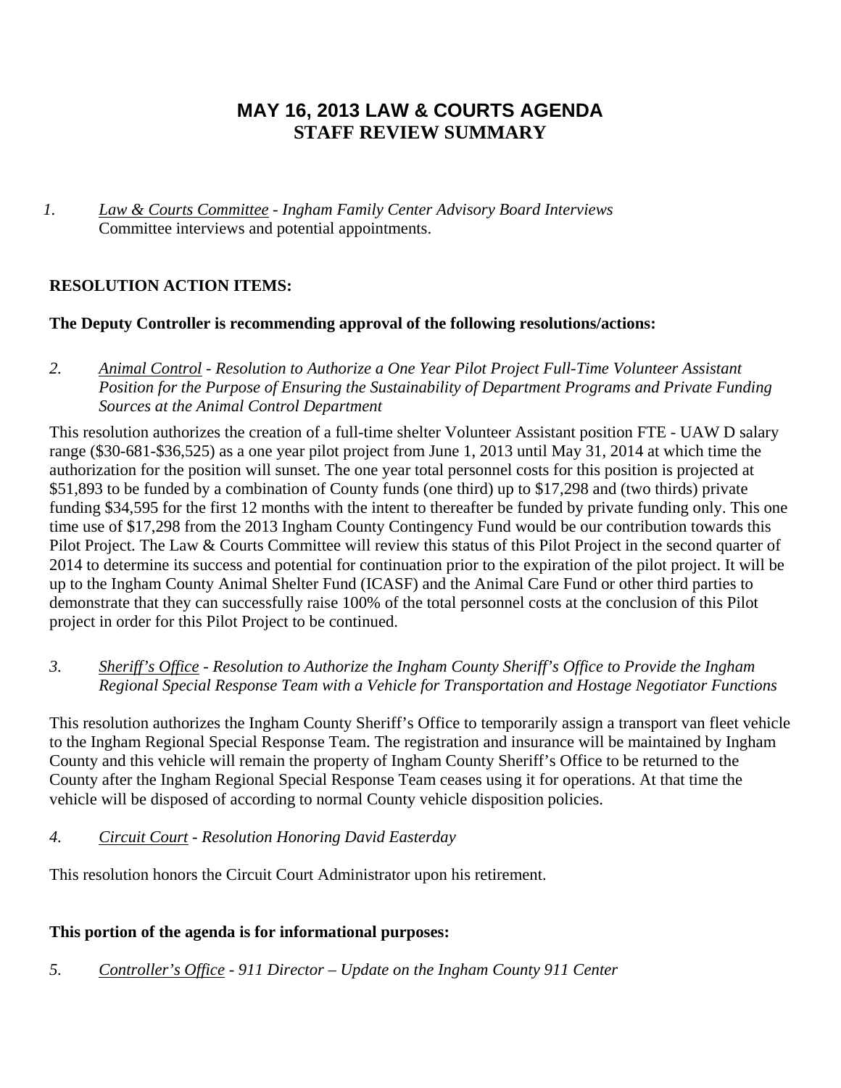# **MAY 16, 2013 LAW & COURTS AGENDA STAFF REVIEW SUMMARY**

*1. Law & Courts Committee - Ingham Family Center Advisory Board Interviews*  Committee interviews and potential appointments.

# **RESOLUTION ACTION ITEMS:**

### **The Deputy Controller is recommending approval of the following resolutions/actions:**

*2. Animal Control - Resolution to Authorize a One Year Pilot Project Full-Time Volunteer Assistant Position for the Purpose of Ensuring the Sustainability of Department Programs and Private Funding Sources at the Animal Control Department* 

This resolution authorizes the creation of a full-time shelter Volunteer Assistant position FTE - UAW D salary range (\$30-681-\$36,525) as a one year pilot project from June 1, 2013 until May 31, 2014 at which time the authorization for the position will sunset. The one year total personnel costs for this position is projected at \$51,893 to be funded by a combination of County funds (one third) up to \$17,298 and (two thirds) private funding \$34,595 for the first 12 months with the intent to thereafter be funded by private funding only. This one time use of \$17,298 from the 2013 Ingham County Contingency Fund would be our contribution towards this Pilot Project. The Law & Courts Committee will review this status of this Pilot Project in the second quarter of 2014 to determine its success and potential for continuation prior to the expiration of the pilot project. It will be up to the Ingham County Animal Shelter Fund (ICASF) and the Animal Care Fund or other third parties to demonstrate that they can successfully raise 100% of the total personnel costs at the conclusion of this Pilot project in order for this Pilot Project to be continued.

### *3. Sheriff's Office - Resolution to Authorize the Ingham County Sheriff's Office to Provide the Ingham Regional Special Response Team with a Vehicle for Transportation and Hostage Negotiator Functions*

This resolution authorizes the Ingham County Sheriff's Office to temporarily assign a transport van fleet vehicle to the Ingham Regional Special Response Team. The registration and insurance will be maintained by Ingham County and this vehicle will remain the property of Ingham County Sheriff's Office to be returned to the County after the Ingham Regional Special Response Team ceases using it for operations. At that time the vehicle will be disposed of according to normal County vehicle disposition policies.

### *4. Circuit Court - Resolution Honoring David Easterday*

This resolution honors the Circuit Court Administrator upon his retirement.

### **This portion of the agenda is for informational purposes:**

*5. Controller's Office - 911 Director – Update on the Ingham County 911 Center*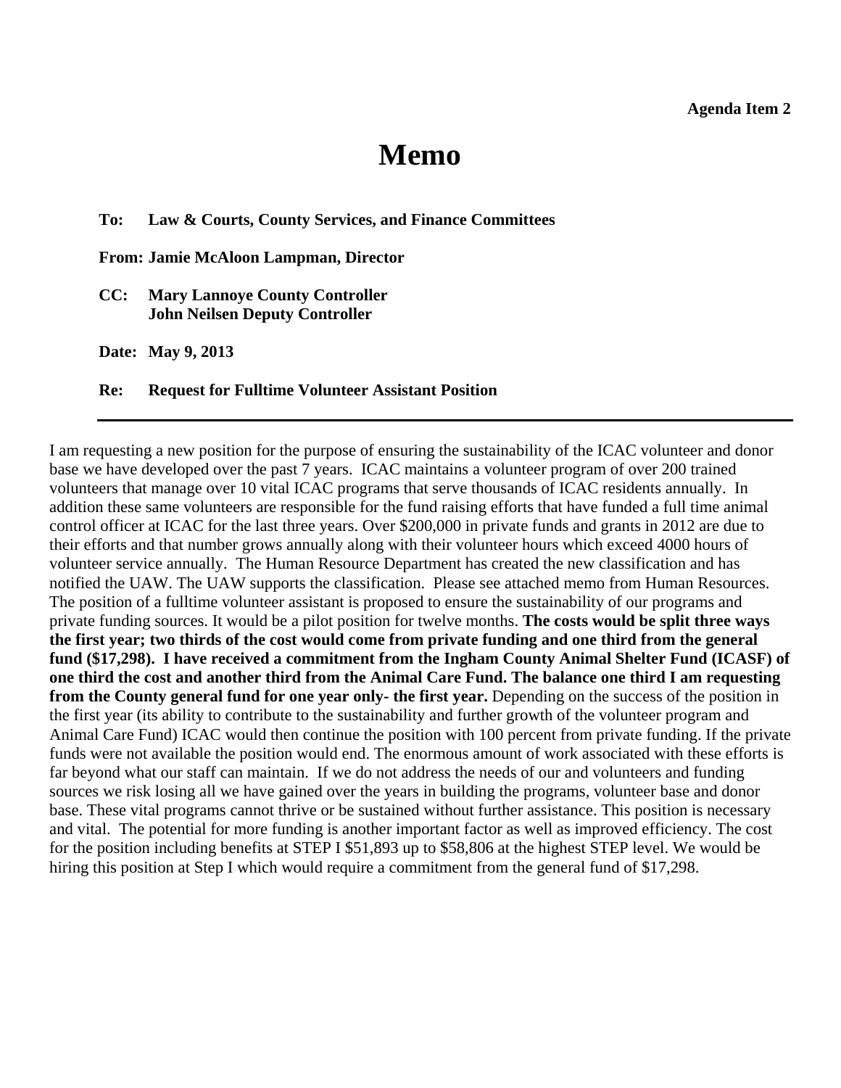# **Memo**

#### <span id="page-7-0"></span>**To: Law & Courts, County Services, and Finance Committees**

**From: Jamie McAloon Lampman, Director** 

**CC: Mary Lannoye County Controller John Neilsen Deputy Controller** 

**Date: May 9, 2013** 

#### **Re: Request for Fulltime Volunteer Assistant Position**

I am requesting a new position for the purpose of ensuring the sustainability of the ICAC volunteer and donor base we have developed over the past 7 years. ICAC maintains a volunteer program of over 200 trained volunteers that manage over 10 vital ICAC programs that serve thousands of ICAC residents annually. In addition these same volunteers are responsible for the fund raising efforts that have funded a full time animal control officer at ICAC for the last three years. Over \$200,000 in private funds and grants in 2012 are due to their efforts and that number grows annually along with their volunteer hours which exceed 4000 hours of volunteer service annually. The Human Resource Department has created the new classification and has notified the UAW. The UAW supports the classification. Please see attached memo from Human Resources. The position of a fulltime volunteer assistant is proposed to ensure the sustainability of our programs and private funding sources. It would be a pilot position for twelve months. **The costs would be split three ways the first year; two thirds of the cost would come from private funding and one third from the general fund (\$17,298). I have received a commitment from the Ingham County Animal Shelter Fund (ICASF) of one third the cost and another third from the Animal Care Fund. The balance one third I am requesting from the County general fund for one year only- the first year.** Depending on the success of the position in the first year (its ability to contribute to the sustainability and further growth of the volunteer program and Animal Care Fund) ICAC would then continue the position with 100 percent from private funding. If the private funds were not available the position would end. The enormous amount of work associated with these efforts is far beyond what our staff can maintain. If we do not address the needs of our and volunteers and funding sources we risk losing all we have gained over the years in building the programs, volunteer base and donor base. These vital programs cannot thrive or be sustained without further assistance. This position is necessary and vital. The potential for more funding is another important factor as well as improved efficiency. The cost for the position including benefits at STEP I \$51,893 up to \$58,806 at the highest STEP level. We would be hiring this position at Step I which would require a commitment from the general fund of \$17,298.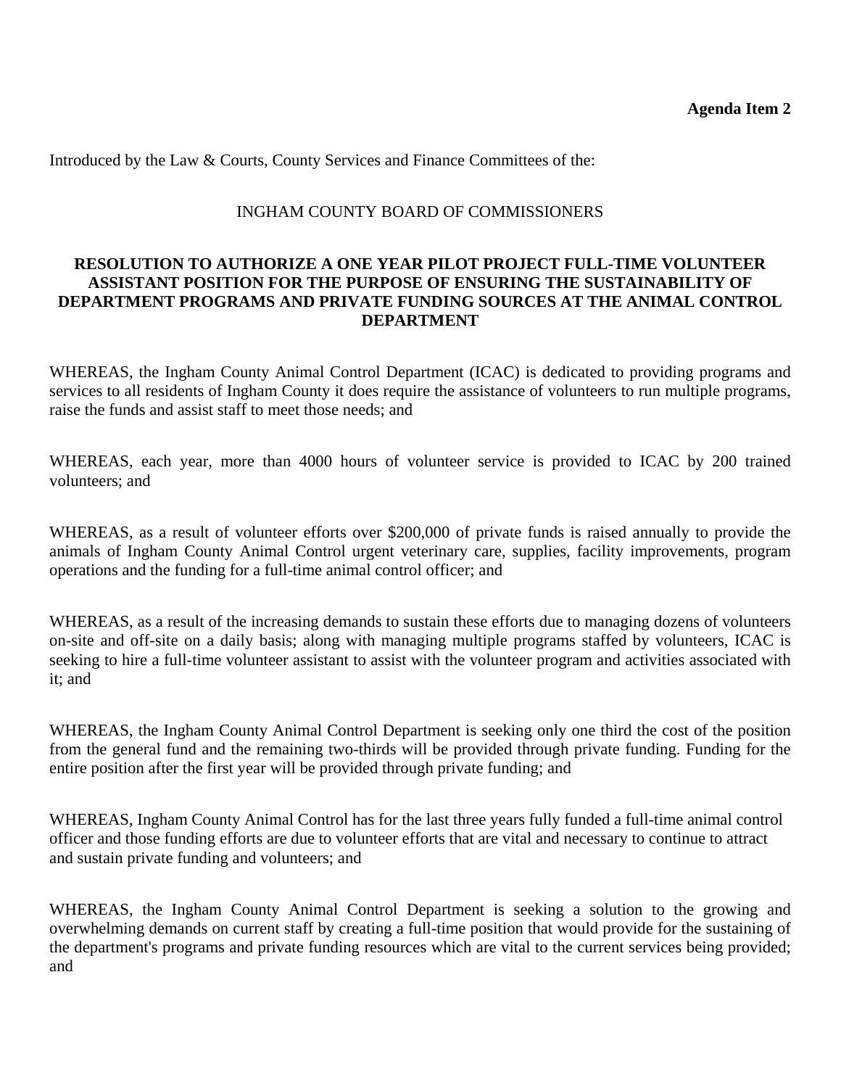Introduced by the Law & Courts, County Services and Finance Committees of the:

#### INGHAM COUNTY BOARD OF COMMISSIONERS

### **RESOLUTION TO AUTHORIZE A ONE YEAR PILOT PROJECT FULL-TIME VOLUNTEER ASSISTANT POSITION FOR THE PURPOSE OF ENSURING THE SUSTAINABILITY OF DEPARTMENT PROGRAMS AND PRIVATE FUNDING SOURCES AT THE ANIMAL CONTROL DEPARTMENT**

WHEREAS, the Ingham County Animal Control Department (ICAC) is dedicated to providing programs and services to all residents of Ingham County it does require the assistance of volunteers to run multiple programs, raise the funds and assist staff to meet those needs; and

WHEREAS, each year, more than 4000 hours of volunteer service is provided to ICAC by 200 trained volunteers; and

WHEREAS, as a result of volunteer efforts over \$200,000 of private funds is raised annually to provide the animals of Ingham County Animal Control urgent veterinary care, supplies, facility improvements, program operations and the funding for a full-time animal control officer; and

WHEREAS, as a result of the increasing demands to sustain these efforts due to managing dozens of volunteers on-site and off-site on a daily basis; along with managing multiple programs staffed by volunteers, ICAC is seeking to hire a full-time volunteer assistant to assist with the volunteer program and activities associated with it; and

WHEREAS, the Ingham County Animal Control Department is seeking only one third the cost of the position from the general fund and the remaining two-thirds will be provided through private funding. Funding for the entire position after the first year will be provided through private funding; and

WHEREAS, Ingham County Animal Control has for the last three years fully funded a full-time animal control officer and those funding efforts are due to volunteer efforts that are vital and necessary to continue to attract and sustain private funding and volunteers; and

WHEREAS, the Ingham County Animal Control Department is seeking a solution to the growing and overwhelming demands on current staff by creating a full-time position that would provide for the sustaining of the department's programs and private funding resources which are vital to the current services being provided; and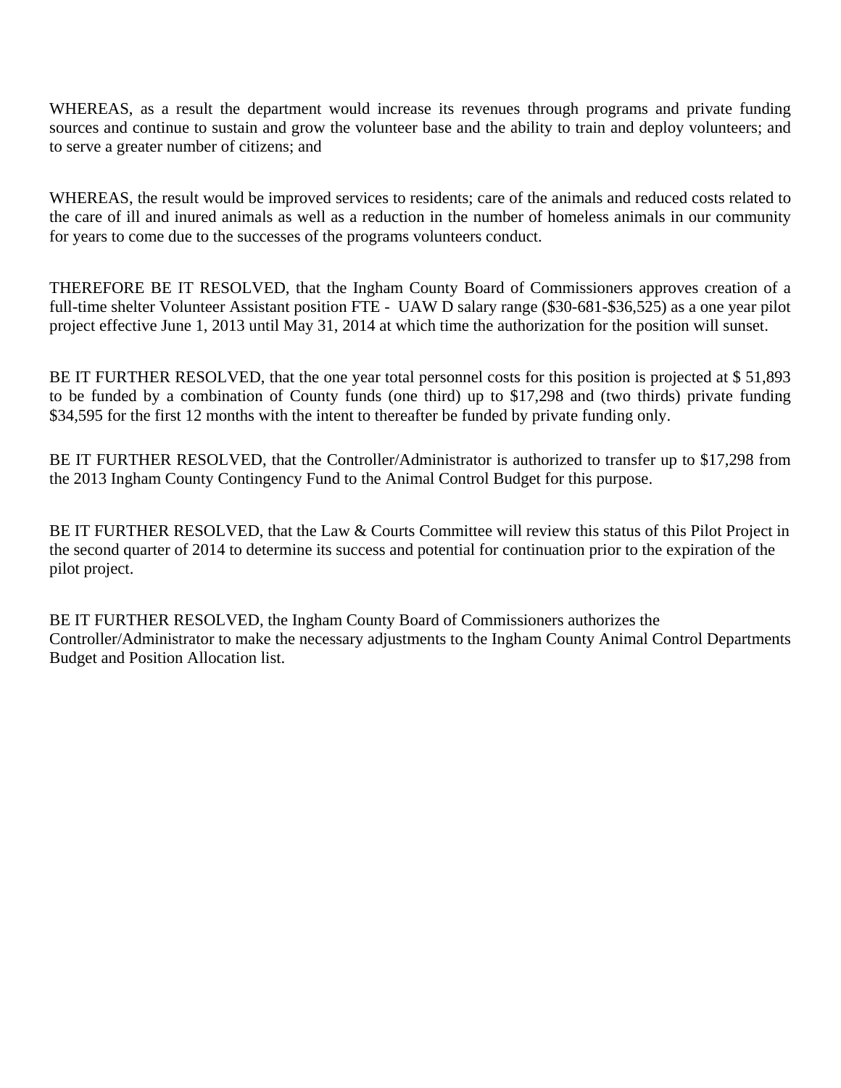WHEREAS, as a result the department would increase its revenues through programs and private funding sources and continue to sustain and grow the volunteer base and the ability to train and deploy volunteers; and to serve a greater number of citizens; and

WHEREAS, the result would be improved services to residents; care of the animals and reduced costs related to the care of ill and inured animals as well as a reduction in the number of homeless animals in our community for years to come due to the successes of the programs volunteers conduct.

THEREFORE BE IT RESOLVED, that the Ingham County Board of Commissioners approves creation of a full-time shelter Volunteer Assistant position FTE - UAW D salary range (\$30-681-\$36,525) as a one year pilot project effective June 1, 2013 until May 31, 2014 at which time the authorization for the position will sunset.

BE IT FURTHER RESOLVED, that the one year total personnel costs for this position is projected at \$51,893 to be funded by a combination of County funds (one third) up to \$17,298 and (two thirds) private funding \$34,595 for the first 12 months with the intent to thereafter be funded by private funding only.

BE IT FURTHER RESOLVED, that the Controller/Administrator is authorized to transfer up to \$17,298 from the 2013 Ingham County Contingency Fund to the Animal Control Budget for this purpose.

BE IT FURTHER RESOLVED, that the Law & Courts Committee will review this status of this Pilot Project in the second quarter of 2014 to determine its success and potential for continuation prior to the expiration of the pilot project.

BE IT FURTHER RESOLVED, the Ingham County Board of Commissioners authorizes the Controller/Administrator to make the necessary adjustments to the Ingham County Animal Control Departments Budget and Position Allocation list.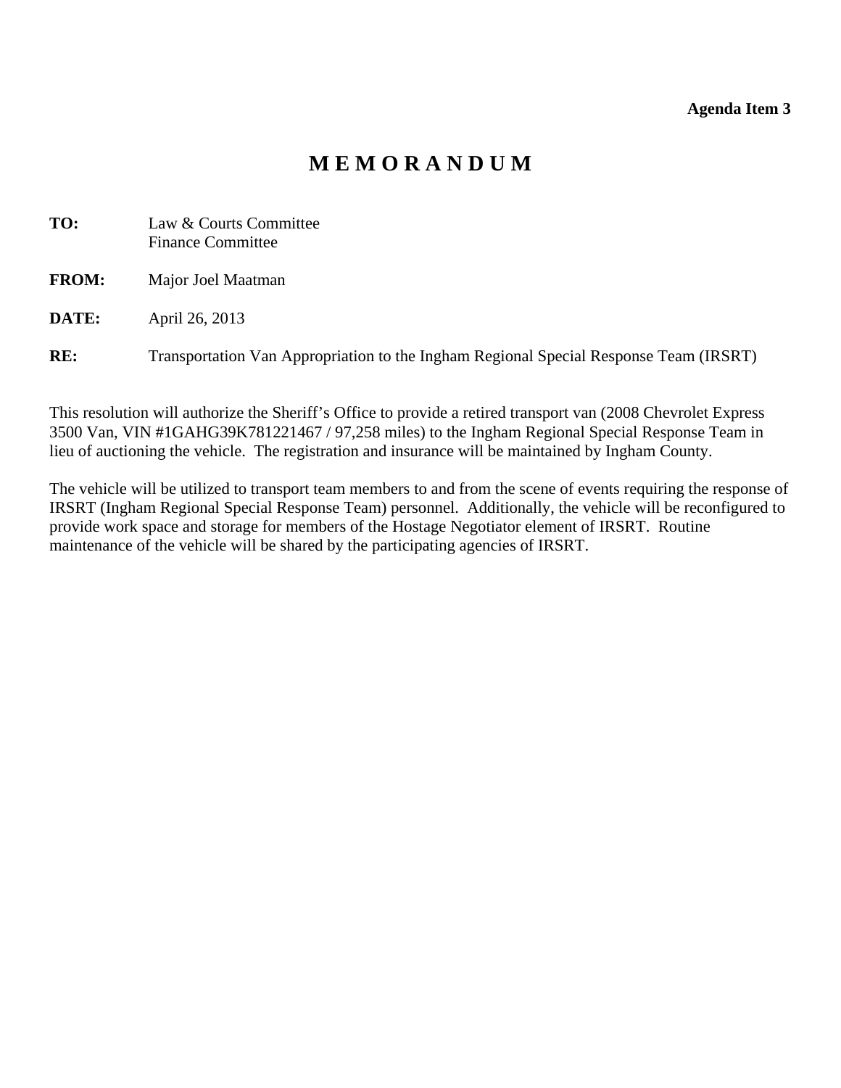#### **Agenda Item 3**

# **M E M O R A N D U M**

<span id="page-10-0"></span>

| TO:          | Law & Courts Committee<br><b>Finance Committee</b>                                    |
|--------------|---------------------------------------------------------------------------------------|
| <b>FROM:</b> | Major Joel Maatman                                                                    |
| DATE:        | April 26, 2013                                                                        |
| RE:          | Transportation Van Appropriation to the Ingham Regional Special Response Team (IRSRT) |

This resolution will authorize the Sheriff's Office to provide a retired transport van (2008 Chevrolet Express 3500 Van, VIN #1GAHG39K781221467 / 97,258 miles) to the Ingham Regional Special Response Team in lieu of auctioning the vehicle. The registration and insurance will be maintained by Ingham County.

The vehicle will be utilized to transport team members to and from the scene of events requiring the response of IRSRT (Ingham Regional Special Response Team) personnel. Additionally, the vehicle will be reconfigured to provide work space and storage for members of the Hostage Negotiator element of IRSRT. Routine maintenance of the vehicle will be shared by the participating agencies of IRSRT.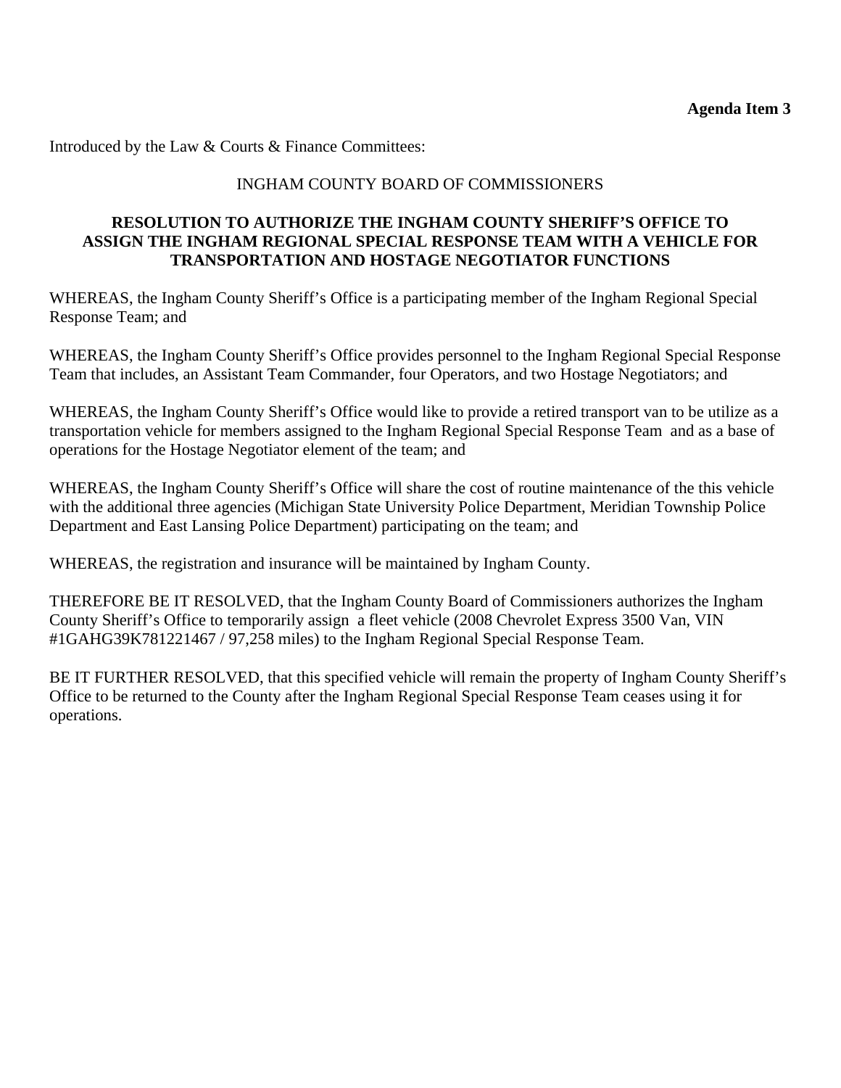Introduced by the Law & Courts & Finance Committees:

# INGHAM COUNTY BOARD OF COMMISSIONERS

### **RESOLUTION TO AUTHORIZE THE INGHAM COUNTY SHERIFF'S OFFICE TO ASSIGN THE INGHAM REGIONAL SPECIAL RESPONSE TEAM WITH A VEHICLE FOR TRANSPORTATION AND HOSTAGE NEGOTIATOR FUNCTIONS**

WHEREAS, the Ingham County Sheriff's Office is a participating member of the Ingham Regional Special Response Team; and

WHEREAS, the Ingham County Sheriff's Office provides personnel to the Ingham Regional Special Response Team that includes, an Assistant Team Commander, four Operators, and two Hostage Negotiators; and

WHEREAS, the Ingham County Sheriff's Office would like to provide a retired transport van to be utilize as a transportation vehicle for members assigned to the Ingham Regional Special Response Team and as a base of operations for the Hostage Negotiator element of the team; and

WHEREAS, the Ingham County Sheriff's Office will share the cost of routine maintenance of the this vehicle with the additional three agencies (Michigan State University Police Department, Meridian Township Police Department and East Lansing Police Department) participating on the team; and

WHEREAS, the registration and insurance will be maintained by Ingham County.

THEREFORE BE IT RESOLVED, that the Ingham County Board of Commissioners authorizes the Ingham County Sheriff's Office to temporarily assign a fleet vehicle (2008 Chevrolet Express 3500 Van, VIN #1GAHG39K781221467 / 97,258 miles) to the Ingham Regional Special Response Team.

BE IT FURTHER RESOLVED, that this specified vehicle will remain the property of Ingham County Sheriff's Office to be returned to the County after the Ingham Regional Special Response Team ceases using it for operations.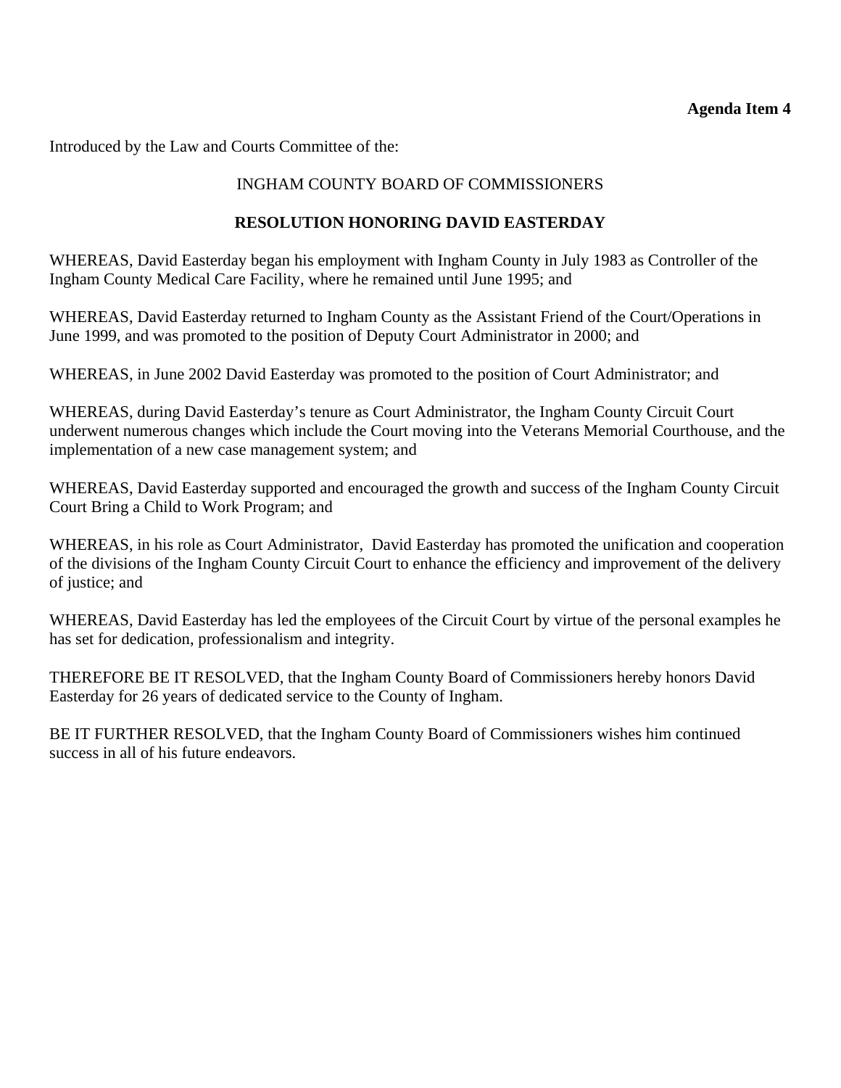#### **Agenda Item 4**

<span id="page-12-0"></span>Introduced by the Law and Courts Committee of the:

# INGHAM COUNTY BOARD OF COMMISSIONERS

# **RESOLUTION HONORING DAVID EASTERDAY**

WHEREAS, David Easterday began his employment with Ingham County in July 1983 as Controller of the Ingham County Medical Care Facility, where he remained until June 1995; and

WHEREAS, David Easterday returned to Ingham County as the Assistant Friend of the Court/Operations in June 1999, and was promoted to the position of Deputy Court Administrator in 2000; and

WHEREAS, in June 2002 David Easterday was promoted to the position of Court Administrator; and

WHEREAS, during David Easterday's tenure as Court Administrator, the Ingham County Circuit Court underwent numerous changes which include the Court moving into the Veterans Memorial Courthouse, and the implementation of a new case management system; and

WHEREAS, David Easterday supported and encouraged the growth and success of the Ingham County Circuit Court Bring a Child to Work Program; and

WHEREAS, in his role as Court Administrator, David Easterday has promoted the unification and cooperation of the divisions of the Ingham County Circuit Court to enhance the efficiency and improvement of the delivery of justice; and

WHEREAS, David Easterday has led the employees of the Circuit Court by virtue of the personal examples he has set for dedication, professionalism and integrity.

THEREFORE BE IT RESOLVED, that the Ingham County Board of Commissioners hereby honors David Easterday for 26 years of dedicated service to the County of Ingham.

BE IT FURTHER RESOLVED, that the Ingham County Board of Commissioners wishes him continued success in all of his future endeavors.